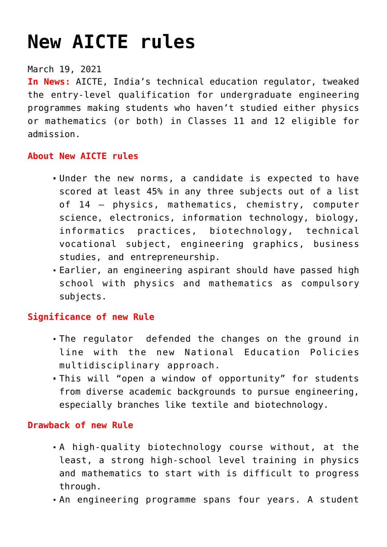# **[New AICTE rules](https://journalsofindia.com/new-aicte-rules/)**

#### March 19, 2021

**In News:** AICTE, India's technical education regulator, tweaked the entry-level qualification for undergraduate engineering programmes making students who haven't studied either physics or mathematics (or both) in Classes 11 and 12 eligible for admission.

### **About New AICTE rules**

- Under the new norms, a candidate is expected to have scored at least 45% in any three subjects out of a list of 14 — physics, mathematics, chemistry, computer science, electronics, information technology, biology, informatics practices, biotechnology, technical vocational subject, engineering graphics, business studies, and entrepreneurship.
- Earlier, an engineering aspirant should have passed high school with physics and mathematics as compulsory subjects.

# **Significance of new Rule**

- The regulator defended the changes on the ground in line with the new National Education Policies multidisciplinary approach.
- This will "open a window of opportunity" for students from diverse academic backgrounds to pursue engineering, especially branches like textile and biotechnology.

#### **Drawback of new Rule**

- A high-quality biotechnology course without, at the least, a strong high-school level training in physics and mathematics to start with is difficult to progress through.
- An engineering programme spans four years. A student